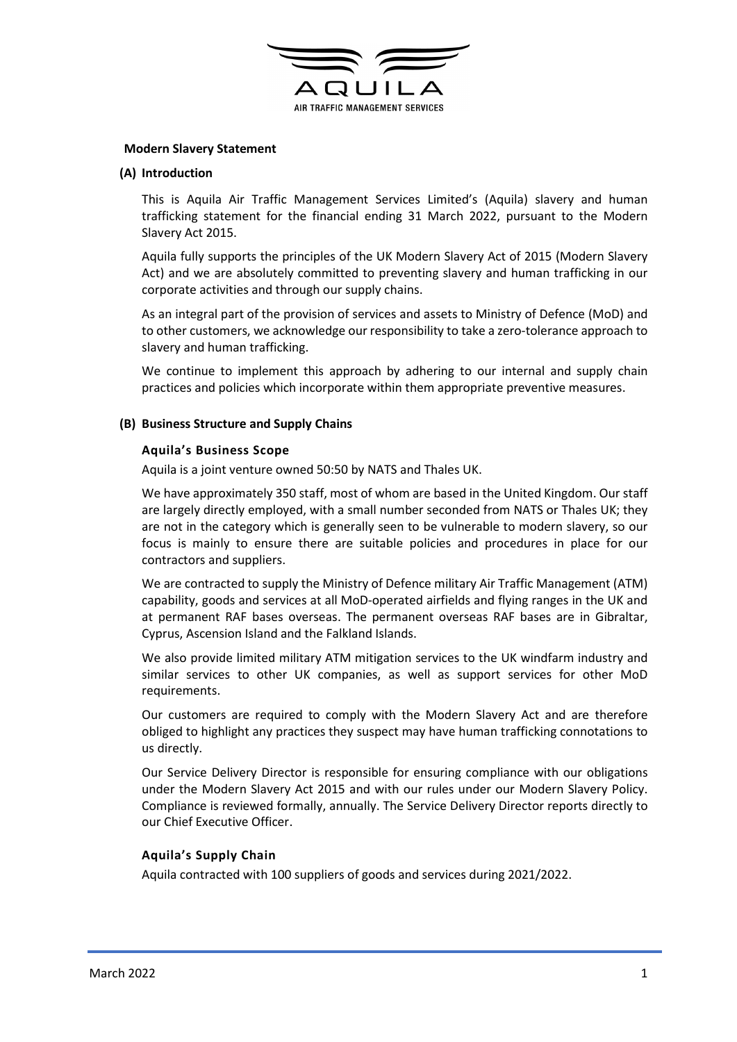

## Modern Slavery Statement

### (A) Introduction

This is Aquila Air Traffic Management Services Limited's (Aquila) slavery and human trafficking statement for the financial ending 31 March 2022, pursuant to the Modern Slavery Act 2015.

Aquila fully supports the principles of the UK Modern Slavery Act of 2015 (Modern Slavery Act) and we are absolutely committed to preventing slavery and human trafficking in our corporate activities and through our supply chains.

As an integral part of the provision of services and assets to Ministry of Defence (MoD) and to other customers, we acknowledge our responsibility to take a zero-tolerance approach to slavery and human trafficking.

We continue to implement this approach by adhering to our internal and supply chain practices and policies which incorporate within them appropriate preventive measures.

### (B) Business Structure and Supply Chains

#### Aquila's Business Scope

Aquila is a joint venture owned 50:50 by NATS and Thales UK.

We have approximately 350 staff, most of whom are based in the United Kingdom. Our staff are largely directly employed, with a small number seconded from NATS or Thales UK; they are not in the category which is generally seen to be vulnerable to modern slavery, so our focus is mainly to ensure there are suitable policies and procedures in place for our contractors and suppliers.

We are contracted to supply the Ministry of Defence military Air Traffic Management (ATM) capability, goods and services at all MoD-operated airfields and flying ranges in the UK and at permanent RAF bases overseas. The permanent overseas RAF bases are in Gibraltar, Cyprus, Ascension Island and the Falkland Islands.

We also provide limited military ATM mitigation services to the UK windfarm industry and similar services to other UK companies, as well as support services for other MoD requirements.

Our customers are required to comply with the Modern Slavery Act and are therefore obliged to highlight any practices they suspect may have human trafficking connotations to us directly.

Our Service Delivery Director is responsible for ensuring compliance with our obligations under the Modern Slavery Act 2015 and with our rules under our Modern Slavery Policy. Compliance is reviewed formally, annually. The Service Delivery Director reports directly to our Chief Executive Officer.

## Aquila's Supply Chain

Aquila contracted with 100 suppliers of goods and services during 2021/2022.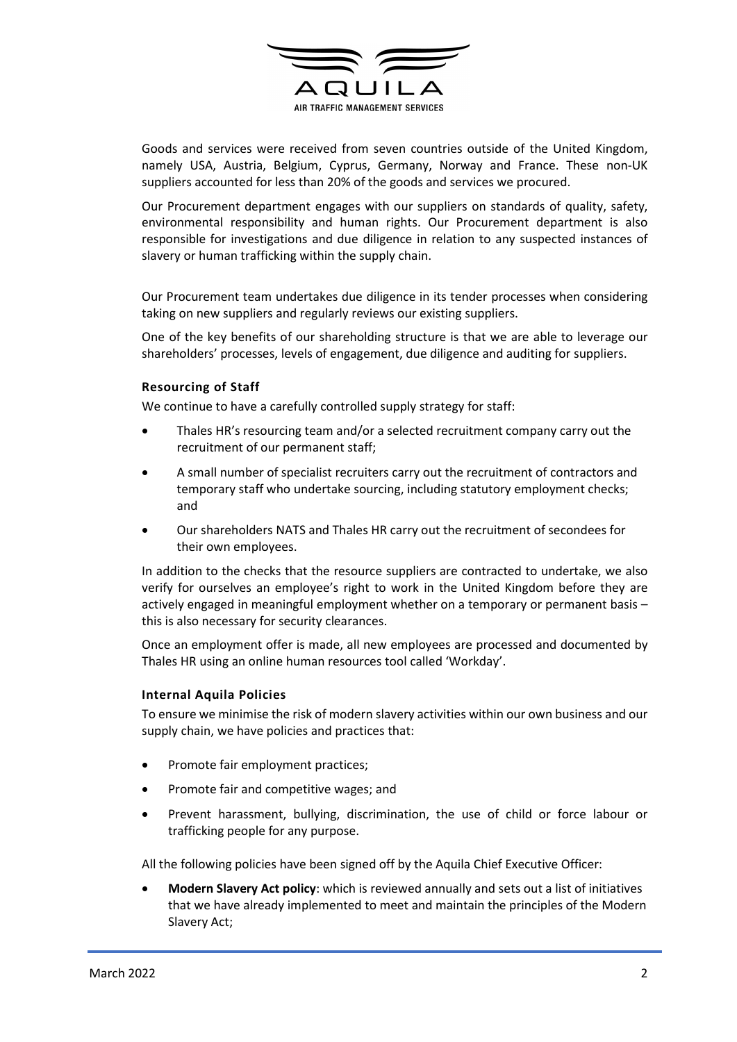

Goods and services were received from seven countries outside of the United Kingdom, namely USA, Austria, Belgium, Cyprus, Germany, Norway and France. These non-UK suppliers accounted for less than 20% of the goods and services we procured.

Our Procurement department engages with our suppliers on standards of quality, safety, environmental responsibility and human rights. Our Procurement department is also responsible for investigations and due diligence in relation to any suspected instances of slavery or human trafficking within the supply chain.

Our Procurement team undertakes due diligence in its tender processes when considering taking on new suppliers and regularly reviews our existing suppliers.

One of the key benefits of our shareholding structure is that we are able to leverage our shareholders' processes, levels of engagement, due diligence and auditing for suppliers.

# Resourcing of Staff

We continue to have a carefully controlled supply strategy for staff:

- Thales HR's resourcing team and/or a selected recruitment company carry out the recruitment of our permanent staff;
- A small number of specialist recruiters carry out the recruitment of contractors and temporary staff who undertake sourcing, including statutory employment checks; and
- Our shareholders NATS and Thales HR carry out the recruitment of secondees for their own employees.

In addition to the checks that the resource suppliers are contracted to undertake, we also verify for ourselves an employee's right to work in the United Kingdom before they are actively engaged in meaningful employment whether on a temporary or permanent basis – this is also necessary for security clearances.

Once an employment offer is made, all new employees are processed and documented by Thales HR using an online human resources tool called 'Workday'.

## Internal Aquila Policies

To ensure we minimise the risk of modern slavery activities within our own business and our supply chain, we have policies and practices that:

- Promote fair employment practices;
- Promote fair and competitive wages; and
- Prevent harassment, bullying, discrimination, the use of child or force labour or trafficking people for any purpose.

All the following policies have been signed off by the Aquila Chief Executive Officer:

 Modern Slavery Act policy: which is reviewed annually and sets out a list of initiatives that we have already implemented to meet and maintain the principles of the Modern Slavery Act;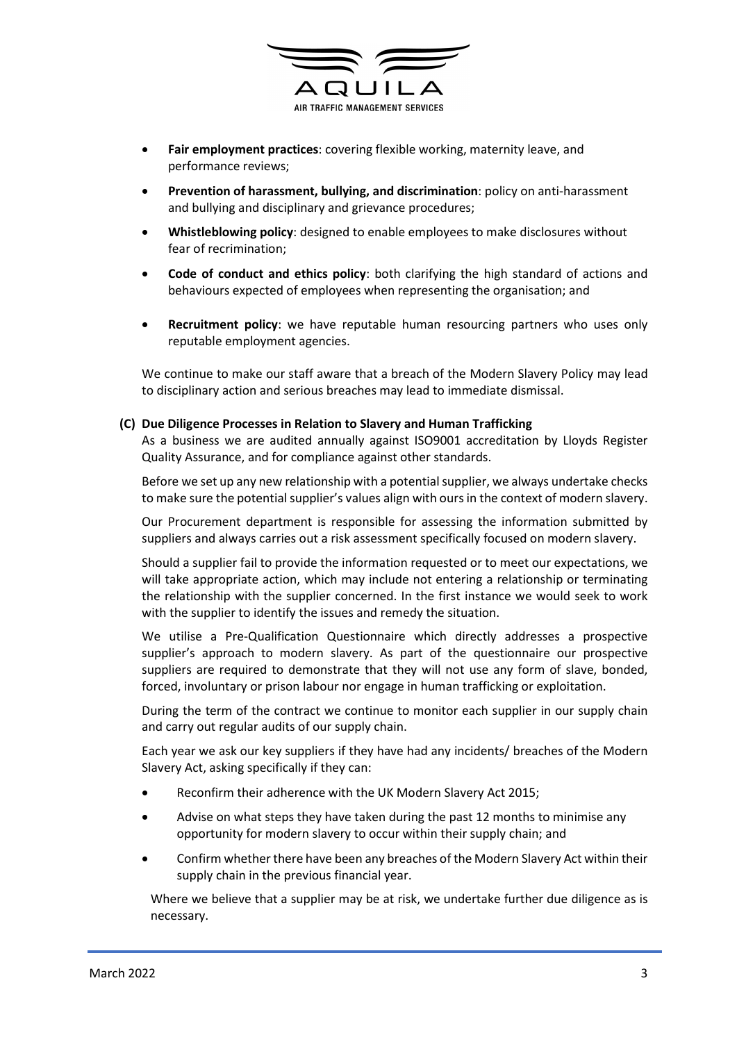

- Fair employment practices: covering flexible working, maternity leave, and performance reviews;
- Prevention of harassment, bullying, and discrimination: policy on anti-harassment and bullying and disciplinary and grievance procedures;
- Whistleblowing policy: designed to enable employees to make disclosures without fear of recrimination;
- Code of conduct and ethics policy: both clarifying the high standard of actions and behaviours expected of employees when representing the organisation; and
- Recruitment policy: we have reputable human resourcing partners who uses only reputable employment agencies.

We continue to make our staff aware that a breach of the Modern Slavery Policy may lead to disciplinary action and serious breaches may lead to immediate dismissal.

### (C) Due Diligence Processes in Relation to Slavery and Human Trafficking

As a business we are audited annually against ISO9001 accreditation by Lloyds Register Quality Assurance, and for compliance against other standards.

Before we set up any new relationship with a potential supplier, we always undertake checks to make sure the potential supplier's values align with ours in the context of modern slavery.

Our Procurement department is responsible for assessing the information submitted by suppliers and always carries out a risk assessment specifically focused on modern slavery.

Should a supplier fail to provide the information requested or to meet our expectations, we will take appropriate action, which may include not entering a relationship or terminating the relationship with the supplier concerned. In the first instance we would seek to work with the supplier to identify the issues and remedy the situation.

We utilise a Pre-Qualification Questionnaire which directly addresses a prospective supplier's approach to modern slavery. As part of the questionnaire our prospective suppliers are required to demonstrate that they will not use any form of slave, bonded, forced, involuntary or prison labour nor engage in human trafficking or exploitation.

During the term of the contract we continue to monitor each supplier in our supply chain and carry out regular audits of our supply chain.

Each year we ask our key suppliers if they have had any incidents/ breaches of the Modern Slavery Act, asking specifically if they can:

- Reconfirm their adherence with the UK Modern Slavery Act 2015;
- Advise on what steps they have taken during the past 12 months to minimise any opportunity for modern slavery to occur within their supply chain; and
- Confirm whether there have been any breaches of the Modern Slavery Act within their supply chain in the previous financial year.

Where we believe that a supplier may be at risk, we undertake further due diligence as is necessary.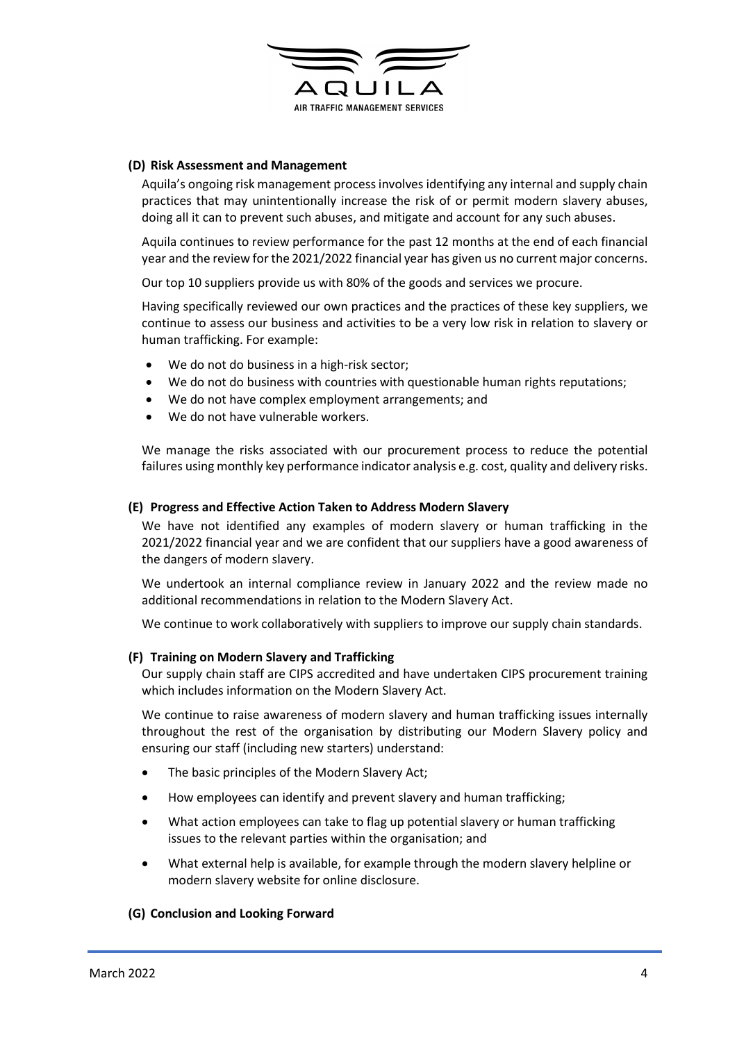

## (D) Risk Assessment and Management

Aquila's ongoing risk management process involves identifying any internal and supply chain practices that may unintentionally increase the risk of or permit modern slavery abuses, doing all it can to prevent such abuses, and mitigate and account for any such abuses.

Aquila continues to review performance for the past 12 months at the end of each financial year and the review for the 2021/2022 financial year has given us no current major concerns.

Our top 10 suppliers provide us with 80% of the goods and services we procure.

Having specifically reviewed our own practices and the practices of these key suppliers, we continue to assess our business and activities to be a very low risk in relation to slavery or human trafficking. For example:

- We do not do business in a high-risk sector;
- We do not do business with countries with questionable human rights reputations;
- We do not have complex employment arrangements; and
- We do not have vulnerable workers.

We manage the risks associated with our procurement process to reduce the potential failures using monthly key performance indicator analysis e.g. cost, quality and delivery risks.

## (E) Progress and Effective Action Taken to Address Modern Slavery

We have not identified any examples of modern slavery or human trafficking in the 2021/2022 financial year and we are confident that our suppliers have a good awareness of the dangers of modern slavery.

We undertook an internal compliance review in January 2022 and the review made no additional recommendations in relation to the Modern Slavery Act.

We continue to work collaboratively with suppliers to improve our supply chain standards.

## (F) Training on Modern Slavery and Trafficking

Our supply chain staff are CIPS accredited and have undertaken CIPS procurement training which includes information on the Modern Slavery Act.

We continue to raise awareness of modern slavery and human trafficking issues internally throughout the rest of the organisation by distributing our Modern Slavery policy and ensuring our staff (including new starters) understand:

- The basic principles of the Modern Slavery Act;
- How employees can identify and prevent slavery and human trafficking;
- What action employees can take to flag up potential slavery or human trafficking issues to the relevant parties within the organisation; and
- What external help is available, for example through the modern slavery helpline or modern slavery website for online disclosure.

## (G) Conclusion and Looking Forward